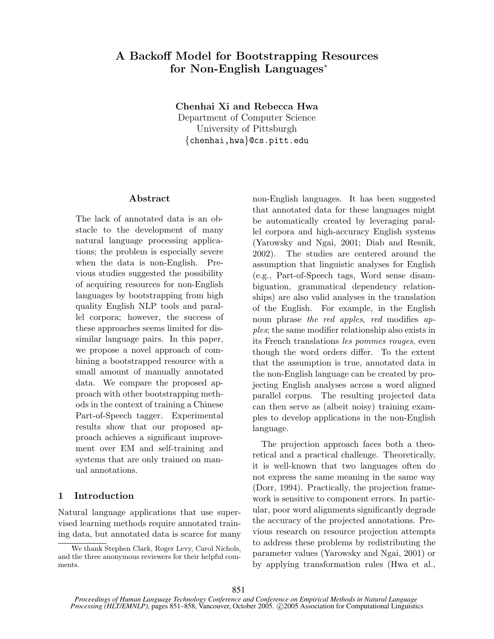# A Backoff Model for Bootstrapping Resources for Non-English Languages<sup>∗</sup>

Chenhai Xi and Rebecca Hwa

Department of Computer Science University of Pittsburgh {chenhai,hwa}@cs.pitt.edu

#### Abstract

The lack of annotated data is an obstacle to the development of many natural language processing applications; the problem is especially severe when the data is non-English. Previous studies suggested the possibility of acquiring resources for non-English languages by bootstrapping from high quality English NLP tools and parallel corpora; however, the success of these approaches seems limited for dissimilar language pairs. In this paper, we propose a novel approach of combining a bootstrapped resource with a small amount of manually annotated data. We compare the proposed approach with other bootstrapping methods in the context of training a Chinese Part-of-Speech tagger. Experimental results show that our proposed approach achieves a significant improvement over EM and self-training and systems that are only trained on manual annotations.

## 1 Introduction

Natural language applications that use supervised learning methods require annotated training data, but annotated data is scarce for many non-English languages. It has been suggested that annotated data for these languages might be automatically created by leveraging parallel corpora and high-accuracy English systems (Yarowsky and Ngai, 2001; Diab and Resnik, 2002). The studies are centered around the assumption that linguistic analyses for English (e.g., Part-of-Speech tags, Word sense disambiguation, grammatical dependency relationships) are also valid analyses in the translation of the English. For example, in the English noun phrase the red apples, red modifies apples; the same modifier relationship also exists in its French translations les pommes rouges, even though the word orders differ. To the extent that the assumption is true, annotated data in the non-English language can be created by projecting English analyses across a word aligned parallel corpus. The resulting projected data can then serve as (albeit noisy) training examples to develop applications in the non-English language.

The projection approach faces both a theoretical and a practical challenge. Theoretically, it is well-known that two languages often do not express the same meaning in the same way (Dorr, 1994). Practically, the projection framework is sensitive to component errors. In particular, poor word alignments significantly degrade the accuracy of the projected annotations. Previous research on resource projection attempts to address these problems by redistributing the parameter values (Yarowsky and Ngai, 2001) or by applying transformation rules (Hwa et al.,

<sup>∗</sup>We thank Stephen Clark, Roger Levy, Carol Nichols, and the three anonymous reviewers for their helpful comments.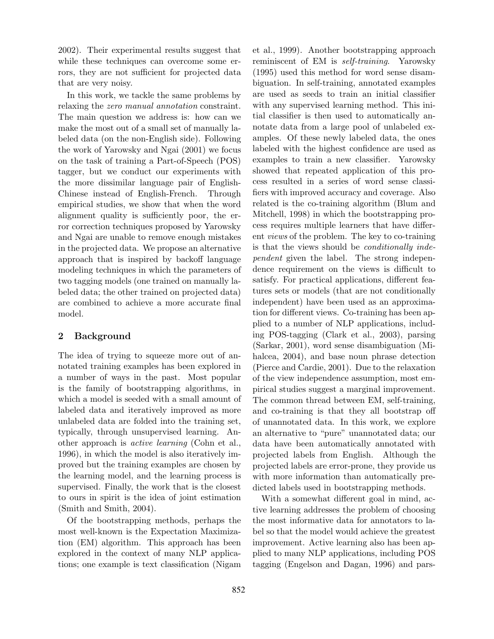2002). Their experimental results suggest that while these techniques can overcome some errors, they are not sufficient for projected data that are very noisy.

In this work, we tackle the same problems by relaxing the zero manual annotation constraint. The main question we address is: how can we make the most out of a small set of manually labeled data (on the non-English side). Following the work of Yarowsky and Ngai (2001) we focus on the task of training a Part-of-Speech (POS) tagger, but we conduct our experiments with the more dissimilar language pair of English-Chinese instead of English-French. Through empirical studies, we show that when the word alignment quality is sufficiently poor, the error correction techniques proposed by Yarowsky and Ngai are unable to remove enough mistakes in the projected data. We propose an alternative approach that is inspired by backoff language modeling techniques in which the parameters of two tagging models (one trained on manually labeled data; the other trained on projected data) are combined to achieve a more accurate final model.

## 2 Background

The idea of trying to squeeze more out of annotated training examples has been explored in a number of ways in the past. Most popular is the family of bootstrapping algorithms, in which a model is seeded with a small amount of labeled data and iteratively improved as more unlabeled data are folded into the training set, typically, through unsupervised learning. Another approach is active learning (Cohn et al., 1996), in which the model is also iteratively improved but the training examples are chosen by the learning model, and the learning process is supervised. Finally, the work that is the closest to ours in spirit is the idea of joint estimation (Smith and Smith, 2004).

Of the bootstrapping methods, perhaps the most well-known is the Expectation Maximization (EM) algorithm. This approach has been explored in the context of many NLP applications; one example is text classification (Nigam

reminiscent of EM is self-training. Yarowsky (1995) used this method for word sense disambiguation. In self-training, annotated examples are used as seeds to train an initial classifier with any supervised learning method. This initial classifier is then used to automatically annotate data from a large pool of unlabeled examples. Of these newly labeled data, the ones labeled with the highest confidence are used as examples to train a new classifier. Yarowsky showed that repeated application of this process resulted in a series of word sense classifiers with improved accuracy and coverage. Also related is the co-training algorithm (Blum and Mitchell, 1998) in which the bootstrapping process requires multiple learners that have different views of the problem. The key to co-training is that the views should be conditionally independent given the label. The strong independence requirement on the views is difficult to satisfy. For practical applications, different features sets or models (that are not conditionally independent) have been used as an approximation for different views. Co-training has been applied to a number of NLP applications, including POS-tagging (Clark et al., 2003), parsing (Sarkar, 2001), word sense disambiguation (Mihalcea, 2004), and base noun phrase detection (Pierce and Cardie, 2001). Due to the relaxation of the view independence assumption, most empirical studies suggest a marginal improvement. The common thread between EM, self-training, and co-training is that they all bootstrap off of unannotated data. In this work, we explore an alternative to "pure" unannotated data; our data have been automatically annotated with projected labels from English. Although the projected labels are error-prone, they provide us with more information than automatically predicted labels used in bootstrapping methods.

et al., 1999). Another bootstrapping approach

With a somewhat different goal in mind, active learning addresses the problem of choosing the most informative data for annotators to label so that the model would achieve the greatest improvement. Active learning also has been applied to many NLP applications, including POS tagging (Engelson and Dagan, 1996) and pars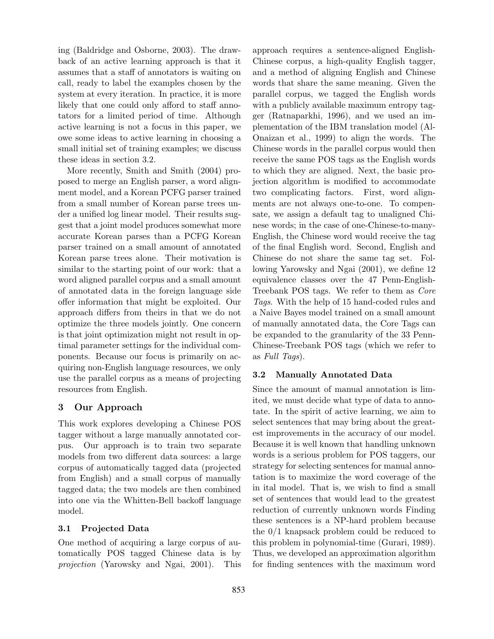ing (Baldridge and Osborne, 2003). The drawback of an active learning approach is that it assumes that a staff of annotators is waiting on call, ready to label the examples chosen by the system at every iteration. In practice, it is more likely that one could only afford to staff annotators for a limited period of time. Although active learning is not a focus in this paper, we owe some ideas to active learning in choosing a small initial set of training examples; we discuss these ideas in section 3.2.

More recently, Smith and Smith (2004) proposed to merge an English parser, a word alignment model, and a Korean PCFG parser trained from a small number of Korean parse trees under a unified log linear model. Their results suggest that a joint model produces somewhat more accurate Korean parses than a PCFG Korean parser trained on a small amount of annotated Korean parse trees alone. Their motivation is similar to the starting point of our work: that a word aligned parallel corpus and a small amount of annotated data in the foreign language side offer information that might be exploited. Our approach differs from theirs in that we do not optimize the three models jointly. One concern is that joint optimization might not result in optimal parameter settings for the individual components. Because our focus is primarily on acquiring non-English language resources, we only use the parallel corpus as a means of projecting resources from English.

## 3 Our Approach

This work explores developing a Chinese POS tagger without a large manually annotated corpus. Our approach is to train two separate models from two different data sources: a large corpus of automatically tagged data (projected from English) and a small corpus of manually tagged data; the two models are then combined into one via the Whitten-Bell backoff language model.

## 3.1 Projected Data

One method of acquiring a large corpus of automatically POS tagged Chinese data is by projection (Yarowsky and Ngai, 2001). This approach requires a sentence-aligned English-Chinese corpus, a high-quality English tagger, and a method of aligning English and Chinese words that share the same meaning. Given the parallel corpus, we tagged the English words with a publicly available maximum entropy tagger (Ratnaparkhi, 1996), and we used an implementation of the IBM translation model (Al-Onaizan et al., 1999) to align the words. The Chinese words in the parallel corpus would then receive the same POS tags as the English words to which they are aligned. Next, the basic projection algorithm is modified to accommodate two complicating factors. First, word alignments are not always one-to-one. To compensate, we assign a default tag to unaligned Chinese words; in the case of one-Chinese-to-many-English, the Chinese word would receive the tag of the final English word. Second, English and Chinese do not share the same tag set. Following Yarowsky and Ngai (2001), we define 12 equivalence classes over the 47 Penn-English-Treebank POS tags. We refer to them as Core Tags. With the help of 15 hand-coded rules and a Naive Bayes model trained on a small amount of manually annotated data, the Core Tags can be expanded to the granularity of the 33 Penn-Chinese-Treebank POS tags (which we refer to as Full Tags).

## 3.2 Manually Annotated Data

Since the amount of manual annotation is limited, we must decide what type of data to annotate. In the spirit of active learning, we aim to select sentences that may bring about the greatest improvements in the accuracy of our model. Because it is well known that handling unknown words is a serious problem for POS taggers, our strategy for selecting sentences for manual annotation is to maximize the word coverage of the in ital model. That is, we wish to find a small set of sentences that would lead to the greatest reduction of currently unknown words Finding these sentences is a NP-hard problem because the 0/1 knapsack problem could be reduced to this problem in polynomial-time (Gurari, 1989). Thus, we developed an approximation algorithm for finding sentences with the maximum word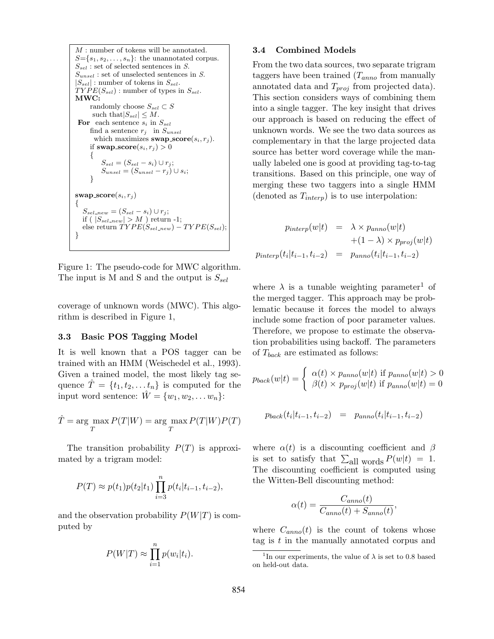$$
M
$$
: number of tokens will be annotated.  $S = \{s_1, s_2, \ldots, s_n\}$ : the unannotated corpus.  $S_{sel}$ : set of selected sentences in  $S$ .  $S_{unsel}$ : set of unselected sentences in  $S$ .  $|S_{sel}|$ : number of tokens in  $S_{sel}$ . **TVPE** $(S_{sel})$ : number of types in  $S_{sel}$ . **MWC:** randomly choose  $S_{sel} \subset S$  such that  $|S_{sel}| \leq M$ . **For** each sentence  $s_i$  in  $S_{sel}$  find a sentence  $r_j$  in  $S_{unsel}$  which maximizes **swap\_score** $(s_i, r_j)$ . if **swap\_score** $(s_i, r_j) > 0$  {  $S_{sel} = (S_{sel} - s_i) \cup r_j$ ;  $S_{unsel} = (S_{unsel} - r_j) \cup s_i$  }  $S_{sel\_new} = (S_{sel} - s_i) \cup r_j$ ; if  $(|S_{sel\_new}| > M)$  return -1; else return  $TYPE(S_{sel\_new}) - TYPE(S_{sel})$ ;

Figure 1: The pseudo-code for MWC algorithm. The input is M and S and the output is  $S_{\text{sel}}$ 

coverage of unknown words (MWC). This algorithm is described in Figure 1,

#### 3.3 Basic POS Tagging Model

It is well known that a POS tagger can be trained with an HMM (Weischedel et al., 1993). Given a trained model, the most likely tag sequence  $\hat{T} = \{t_1, t_2, \ldots t_n\}$  is computed for the input word sentence:  $\hat{W} = \{w_1, w_2, \ldots w_n\}$ :

$$
\hat{T} = \arg\max_{T} P(T|W) = \arg\max_{T} P(T|W)P(T)
$$

The transition probability  $P(T)$  is approximated by a trigram model:

$$
P(T) \approx p(t_1)p(t_2|t_1) \prod_{i=3}^{n} p(t_i|t_{i-1}, t_{i-2}),
$$

and the observation probability  $P(W|T)$  is computed by

$$
P(W|T) \approx \prod_{i=1}^{n} p(w_i|t_i).
$$

#### 3.4 Combined Models

From the two data sources, two separate trigram taggers have been trained  $(T_{anno}$  from manually annotated data and  $T_{proj}$  from projected data). This section considers ways of combining them into a single tagger. The key insight that drives our approach is based on reducing the effect of unknown words. We see the two data sources as complementary in that the large projected data source has better word coverage while the manually labeled one is good at providing tag-to-tag transitions. Based on this principle, one way of merging these two taggers into a single HMM (denoted as  $T_{interp}$ ) is to use interpolation:

$$
p_{interp}(w|t) = \lambda \times p_{anno}(w|t)
$$
  
+ $(1 - \lambda) \times p_{proj}(w|t)$   

$$
p_{interp}(t_i|t_{i-1}, t_{i-2}) = p_{anno}(t_i|t_{i-1}, t_{i-2})
$$

where  $\lambda$  is a tunable weighting parameter<sup>1</sup> of the merged tagger. This approach may be problematic because it forces the model to always include some fraction of poor parameter values. Therefore, we propose to estimate the observation probabilities using backoff. The parameters of  $T_{back}$  are estimated as follows:

$$
p_{back}(w|t) = \begin{cases} \alpha(t) \times p_{anno}(w|t) \text{ if } p_{anno}(w|t) > 0\\ \beta(t) \times p_{proj}(w|t) \text{ if } p_{anno}(w|t) = 0 \end{cases}
$$

$$
p_{back}(t_i|t_{i-1}, t_{i-2}) = p_{anno}(t_i|t_{i-1}, t_{i-2})
$$

where  $\alpha(t)$  is a discounting coefficient and  $\beta$ is set to satisfy that  $\sum_{\text{all words}} P(w|t) = 1$ . The discounting coefficient is computed using the Witten-Bell discounting method:

$$
\alpha(t) = \frac{C_{anno}(t)}{C_{anno}(t) + S_{anno}(t)},
$$

where  $C_{anno}(t)$  is the count of tokens whose tag is  $t$  in the manually annotated corpus and

<sup>&</sup>lt;sup>1</sup>In our experiments, the value of  $\lambda$  is set to 0.8 based on held-out data.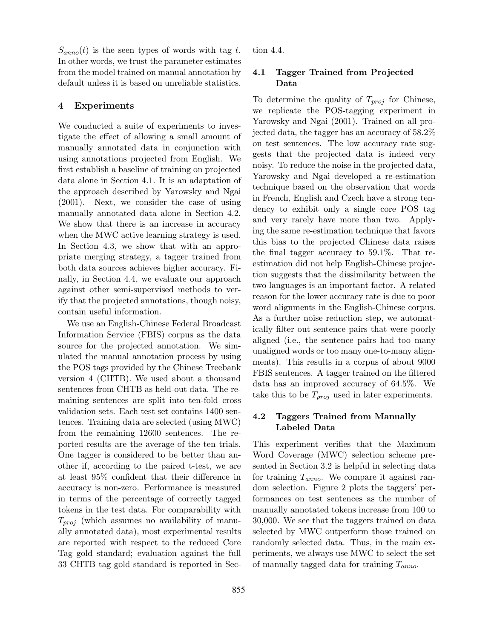$S_{anno}(t)$  is the seen types of words with tag t. In other words, we trust the parameter estimates from the model trained on manual annotation by default unless it is based on unreliable statistics.

## 4 Experiments

We conducted a suite of experiments to investigate the effect of allowing a small amount of manually annotated data in conjunction with using annotations projected from English. We first establish a baseline of training on projected data alone in Section 4.1. It is an adaptation of the approach described by Yarowsky and Ngai (2001). Next, we consider the case of using manually annotated data alone in Section 4.2. We show that there is an increase in accuracy when the MWC active learning strategy is used. In Section 4.3, we show that with an appropriate merging strategy, a tagger trained from both data sources achieves higher accuracy. Finally, in Section 4.4, we evaluate our approach against other semi-supervised methods to verify that the projected annotations, though noisy, contain useful information.

We use an English-Chinese Federal Broadcast Information Service (FBIS) corpus as the data source for the projected annotation. We simulated the manual annotation process by using the POS tags provided by the Chinese Treebank version 4 (CHTB). We used about a thousand sentences from CHTB as held-out data. The remaining sentences are split into ten-fold cross validation sets. Each test set contains 1400 sentences. Training data are selected (using MWC) from the remaining 12600 sentences. The reported results are the average of the ten trials. One tagger is considered to be better than another if, according to the paired t-test, we are at least 95% confident that their difference in accuracy is non-zero. Performance is measured in terms of the percentage of correctly tagged tokens in the test data. For comparability with  $T_{proj}$  (which assumes no availability of manually annotated data), most experimental results are reported with respect to the reduced Core Tag gold standard; evaluation against the full 33 CHTB tag gold standard is reported in Section 4.4.

#### 4.1 Tagger Trained from Projected Data

To determine the quality of  $T_{proj}$  for Chinese, we replicate the POS-tagging experiment in Yarowsky and Ngai (2001). Trained on all projected data, the tagger has an accuracy of 58.2% on test sentences. The low accuracy rate suggests that the projected data is indeed very noisy. To reduce the noise in the projected data, Yarowsky and Ngai developed a re-estimation technique based on the observation that words in French, English and Czech have a strong tendency to exhibit only a single core POS tag and very rarely have more than two. Applying the same re-estimation technique that favors this bias to the projected Chinese data raises the final tagger accuracy to 59.1%. That reestimation did not help English-Chinese projection suggests that the dissimilarity between the two languages is an important factor. A related reason for the lower accuracy rate is due to poor word alignments in the English-Chinese corpus. As a further noise reduction step, we automatically filter out sentence pairs that were poorly aligned (i.e., the sentence pairs had too many unaligned words or too many one-to-many alignments). This results in a corpus of about 9000 FBIS sentences. A tagger trained on the filtered data has an improved accuracy of 64.5%. We take this to be  $T_{proj}$  used in later experiments.

## 4.2 Taggers Trained from Manually Labeled Data

This experiment verifies that the Maximum Word Coverage (MWC) selection scheme presented in Section 3.2 is helpful in selecting data for training  $T_{anno}$ . We compare it against random selection. Figure 2 plots the taggers' performances on test sentences as the number of manually annotated tokens increase from 100 to 30,000. We see that the taggers trained on data selected by MWC outperform those trained on randomly selected data. Thus, in the main experiments, we always use MWC to select the set of manually tagged data for training  $T_{anno}$ .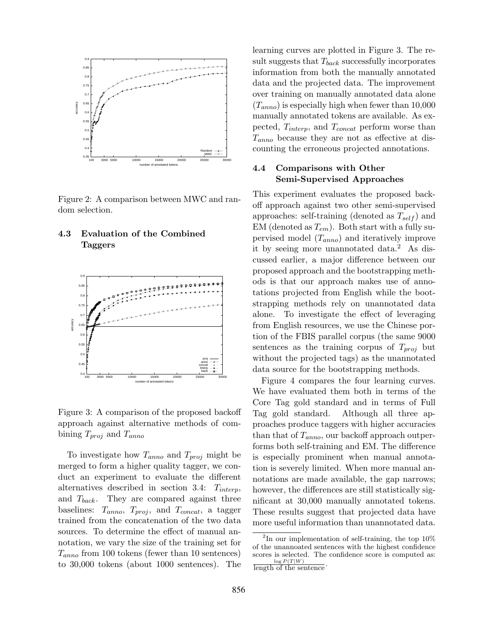

Figure 2: A comparison between MWC and random selection.

4.3 Evaluation of the Combined

Taggers

#### 0.4  $0.45 +$  $0.5$  $0.5$  $0.6 +$  $0.6$  $0.7 + 1$  $0.75$  $0.8 +$  $0.85 +$  $0.9 -$  100 3000 5000 10000 15000 20000 25000 30000 accuracy number of annotated tokens proj anno concat Interp .... back

Figure 3: A comparison of the proposed backoff approach against alternative methods of combining  $T_{proj}$  and  $T_{anno}$ 

To investigate how  $T_{anno}$  and  $T_{proj}$  might be merged to form a higher quality tagger, we conduct an experiment to evaluate the different alternatives described in section 3.4:  $T_{interp}$ , and  $T_{back}$ . They are compared against three baselines:  $T_{anno}$ ,  $T_{proj}$ , and  $T_{concat}$ , a tagger trained from the concatenation of the two data sources. To determine the effect of manual annotation, we vary the size of the training set for  $T_{anno}$  from 100 tokens (fewer than 10 sentences) to 30,000 tokens (about 1000 sentences). The learning curves are plotted in Figure 3. The result suggests that  $T_{back}$  successfully incorporates information from both the manually annotated data and the projected data. The improvement over training on manually annotated data alone  $(T_{anno})$  is especially high when fewer than 10,000 manually annotated tokens are available. As expected,  $T_{interp}$ , and  $T_{concat}$  perform worse than  $T_{anno}$  because they are not as effective at discounting the erroneous projected annotations.

#### 4.4 Comparisons with Other Semi-Supervised Approaches

This experiment evaluates the proposed backoff approach against two other semi-supervised approaches: self-training (denoted as  $T_{self}$ ) and EM (denoted as  $T_{em}$ ). Both start with a fully supervised model  $(T_{anno})$  and iteratively improve it by seeing more unannotated data.<sup>2</sup> As discussed earlier, a major difference between our proposed approach and the bootstrapping methods is that our approach makes use of annotations projected from English while the bootstrapping methods rely on unannotated data alone. To investigate the effect of leveraging from English resources, we use the Chinese portion of the FBIS parallel corpus (the same 9000 sentences as the training corpus of  $T_{proj}$  but without the projected tags) as the unannotated data source for the bootstrapping methods.

Figure 4 compares the four learning curves. We have evaluated them both in terms of the Core Tag gold standard and in terms of Full Tag gold standard. Although all three approaches produce taggers with higher accuracies than that of  $T_{anno}$ , our backoff approach outperforms both self-training and EM. The difference is especially prominent when manual annotation is severely limited. When more manual annotations are made available, the gap narrows; however, the differences are still statistically significant at 30,000 manually annotated tokens. These results suggest that projected data have more useful information than unannotated data.

<sup>&</sup>lt;sup>2</sup>In our implementation of self-training, the top  $10\%$ of the unannoated sentences with the highest confidence scores is selected. The confidence score is computed as:  $log P(T|W)$ length of the sentence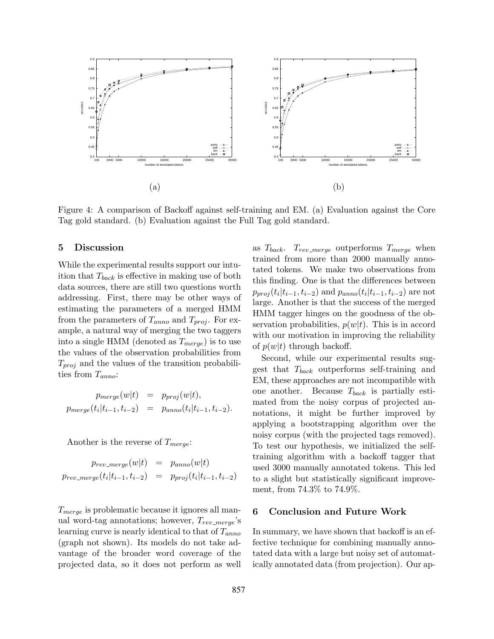

Figure 4: A comparison of Backoff against self-training and EM. (a) Evaluation against the Core Tag gold standard. (b) Evaluation against the Full Tag gold standard.

#### 5 Discussion

While the experimental results support our intuition that  $T_{back}$  is effective in making use of both data sources, there are still two questions worth addressing. First, there may be other ways of estimating the parameters of a merged HMM from the parameters of  $T_{anno}$  and  $T_{proj}$ . For example, a natural way of merging the two taggers into a single HMM (denoted as  $T_{merge}$ ) is to use the values of the observation probabilities from  $T_{proj}$  and the values of the transition probabilities from  $T_{anno}$ :

$$
p_{merge}(w|t) = p_{proj}(w|t),
$$
  

$$
p_{merge}(t_i|t_{i-1}, t_{i-2}) = p_{anno}(t_i|t_{i-1}, t_{i-2}).
$$

Another is the reverse of  $T_{merge}$ :

 $p_{rev\_merge}(w|t) = p_{anno}(w|t)$  $p_{rev\_merge}(t_i|t_{i-1}, t_{i-2}) = p_{proj}(t_i|t_{i-1}, t_{i-2})$ 

 $T_{merge}$  is problematic because it ignores all manual word-tag annotations; however,  $T_{rev\_merge}$ 's learning curve is nearly identical to that of  $T_{anno}$ (graph not shown). Its models do not take advantage of the broader word coverage of the projected data, so it does not perform as well

as  $T_{back}$ .  $T_{rev\_merge}$  outperforms  $T_{merge}$  when trained from more than 2000 manually annotated tokens. We make two observations from this finding. One is that the differences between  $p_{proj}(t_i|t_{i-1}, t_{i-2})$  and  $p_{anno}(t_i|t_{i-1}, t_{i-2})$  are not large. Another is that the success of the merged HMM tagger hinges on the goodness of the observation probabilities,  $p(w|t)$ . This is in accord with our motivation in improving the reliability of  $p(w|t)$  through backoff.

Second, while our experimental results suggest that  $T_{back}$  outperforms self-training and EM, these approaches are not incompatible with one another. Because  $T_{back}$  is partially estimated from the noisy corpus of projected annotations, it might be further improved by applying a bootstrapping algorithm over the noisy corpus (with the projected tags removed). To test our hypothesis, we initialized the selftraining algorithm with a backoff tagger that used 3000 manually annotated tokens. This led to a slight but statistically significant improvement, from 74.3% to 74.9%.

#### 6 Conclusion and Future Work

In summary, we have shown that backoff is an effective technique for combining manually annotated data with a large but noisy set of automatically annotated data (from projection). Our ap